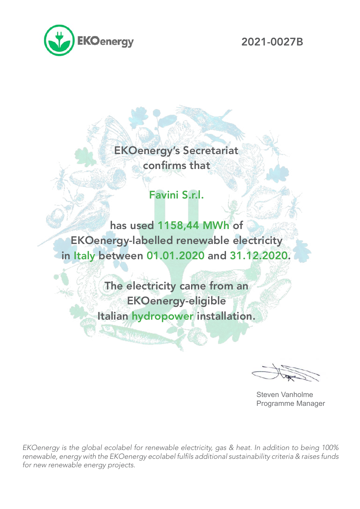

2021-0027B

## EKOenergy's Secretariat confirms that

## Favini S.r.l.

has used 1158,44 MWh of EKOenergy-labelled renewable electricity in Italy between 01.01.2020 and 31.12.2020.

> The electricity came from an EKOenergy-eligible Italian hydropower installation.

> > **Sandware**

Steven Vanholme Programme Manager

*EKOenergy is the global ecolabel for renewable electricity, gas & heat. In addition to being 100%*  renewable, energy with the EKOenergy ecolabel fulfils additional sustainability criteria & raises funds *for new renewable energy projects.*